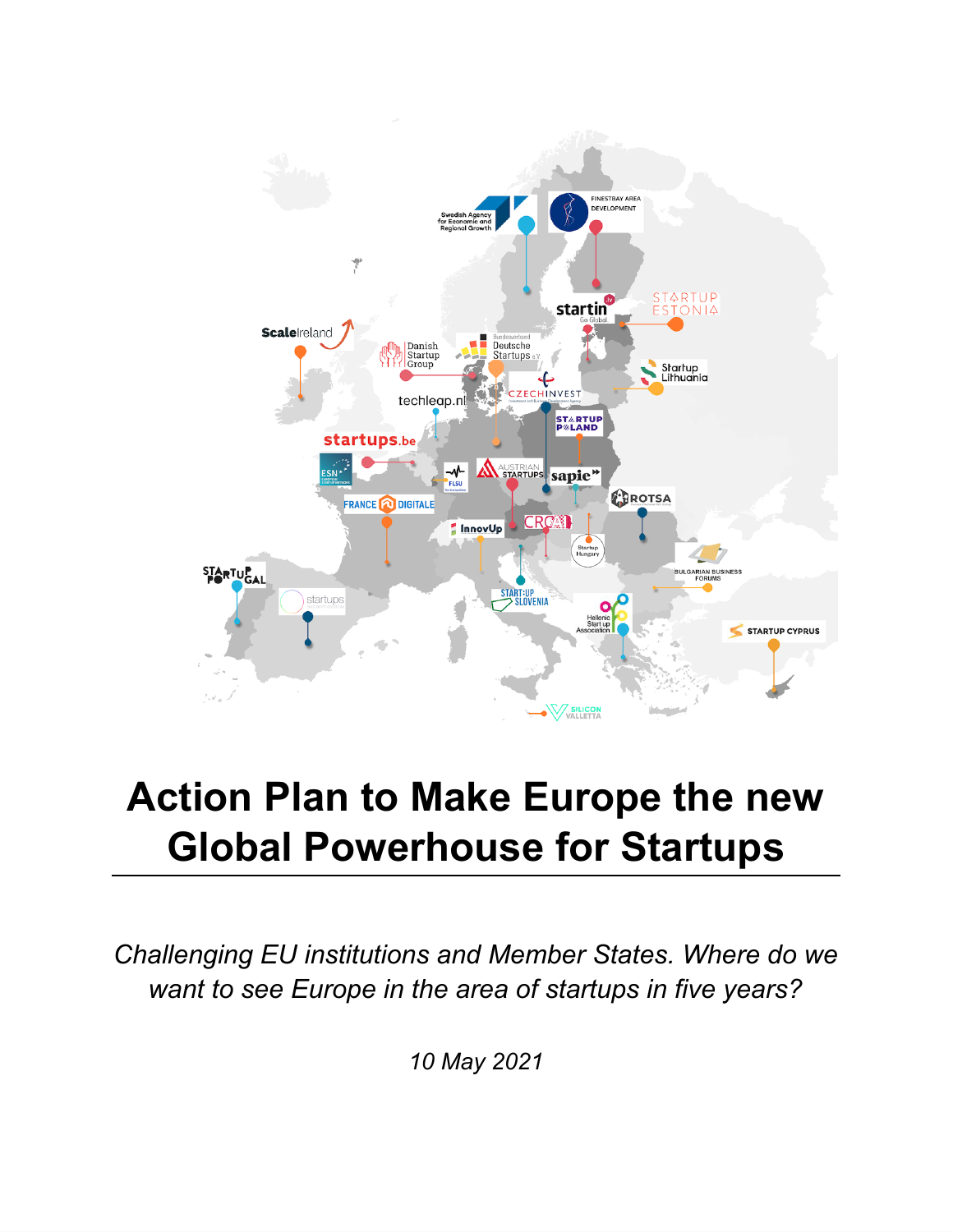

# **Action Plan to Make Europe the new Global Powerhouse for Startups**

*Challenging EU institutions and Member States. Where do we want to see Europe in the area of startups in five years?*

*10 May 2021*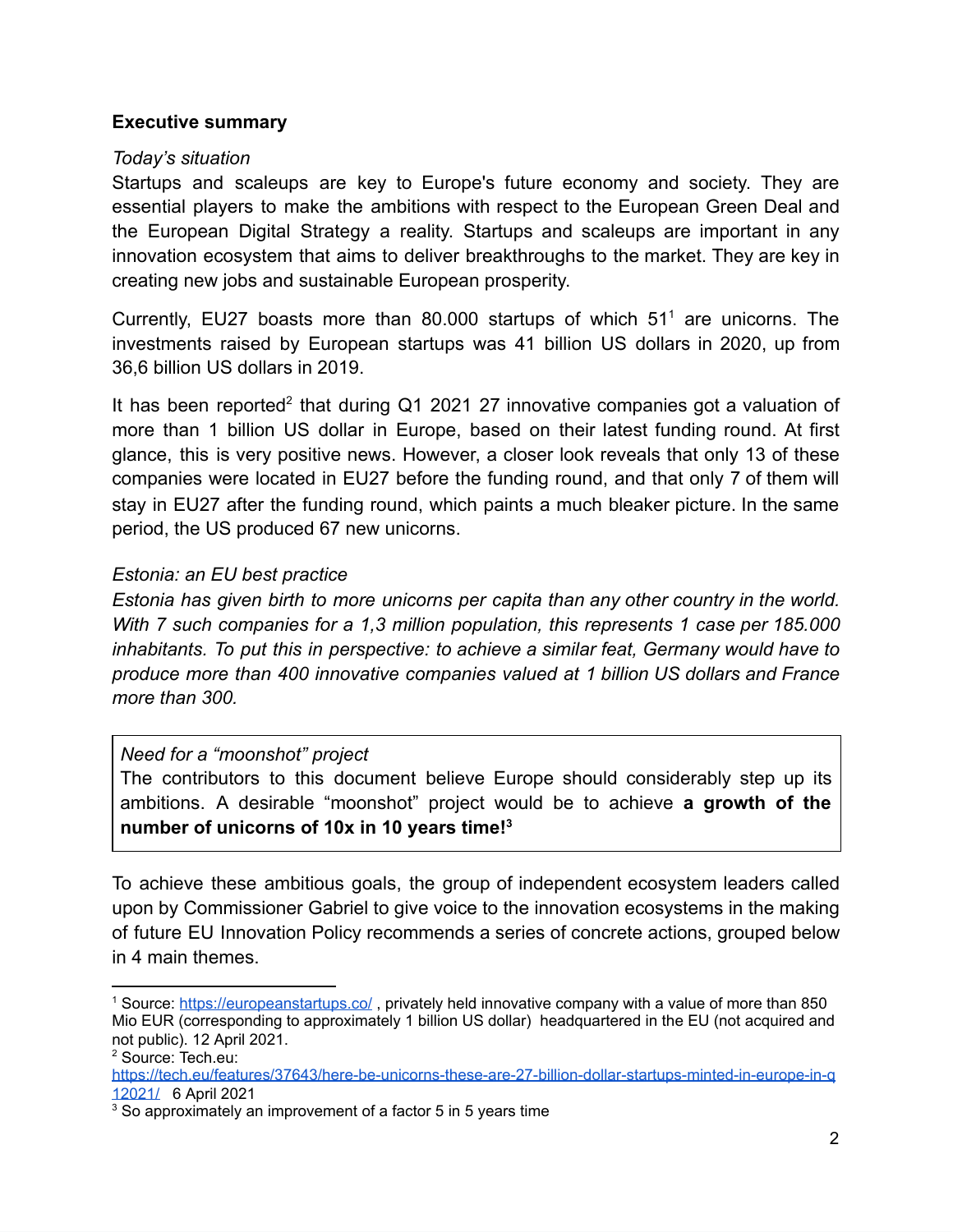#### **Executive summary**

#### *Today's situation*

Startups and scaleups are key to Europe's future economy and society. They are essential players to make the ambitions with respect to the European Green Deal and the European Digital Strategy a reality. Startups and scaleups are important in any innovation ecosystem that aims to deliver breakthroughs to the market. They are key in creating new jobs and sustainable European prosperity.

Currently, EU27 boasts more than 80.000 startups of which  $51<sup>1</sup>$  are unicorns. The investments raised by European startups was 41 billion US dollars in 2020, up from 36,6 billion US dollars in 2019.

It has been reported<sup>2</sup> that during Q1 2021 27 innovative companies got a valuation of more than 1 billion US dollar in Europe, based on their latest funding round. At first glance, this is very positive news. However, a closer look reveals that only 13 of these companies were located in EU27 before the funding round, and that only 7 of them will stay in EU27 after the funding round, which paints a much bleaker picture. In the same period, the US produced 67 new unicorns.

#### *Estonia: an EU best practice*

*Estonia has given birth to more unicorns per capita than any other country in the world. With 7 such companies for a 1,3 million population, this represents 1 case per 185.000 inhabitants. To put this in perspective: to achieve a similar feat, Germany would have to produce more than 400 innovative companies valued at 1 billion US dollars and France more than 300.* 

#### *Need for a "moonshot" project*

The contributors to this document believe Europe should considerably step up its ambitions. A desirable "moonshot" project would be to achieve **a growth of the number of unicorns of 10x in 10 years time! 3**

To achieve these ambitious goals, the group of independent ecosystem leaders called upon by Commissioner Gabriel to give voice to the innovation ecosystems in the making of future EU Innovation Policy recommends a series of concrete actions, grouped below in 4 main themes.

<sup>&</sup>lt;sup>1</sup> Source: <https://europeanstartups.co/>, privately held innovative company with a value of more than 850 Mio EUR (corresponding to approximately 1 billion US dollar) headquartered in the EU (not acquired and not public). 12 April 2021.

<sup>2</sup> Source: Tech.eu:

[https://tech.eu/features/37643/here-be-unicorns-these-are-27-billion-dollar-startups-minted-in-europe-in-q](https://tech.eu/features/37643/here-be-unicorns-these-are-27-billion-dollar-startups-minted-in-europe-in-q12021/) [12021/](https://tech.eu/features/37643/here-be-unicorns-these-are-27-billion-dollar-startups-minted-in-europe-in-q12021/) 6 April 2021

<sup>&</sup>lt;sup>3</sup> So approximately an improvement of a factor 5 in 5 years time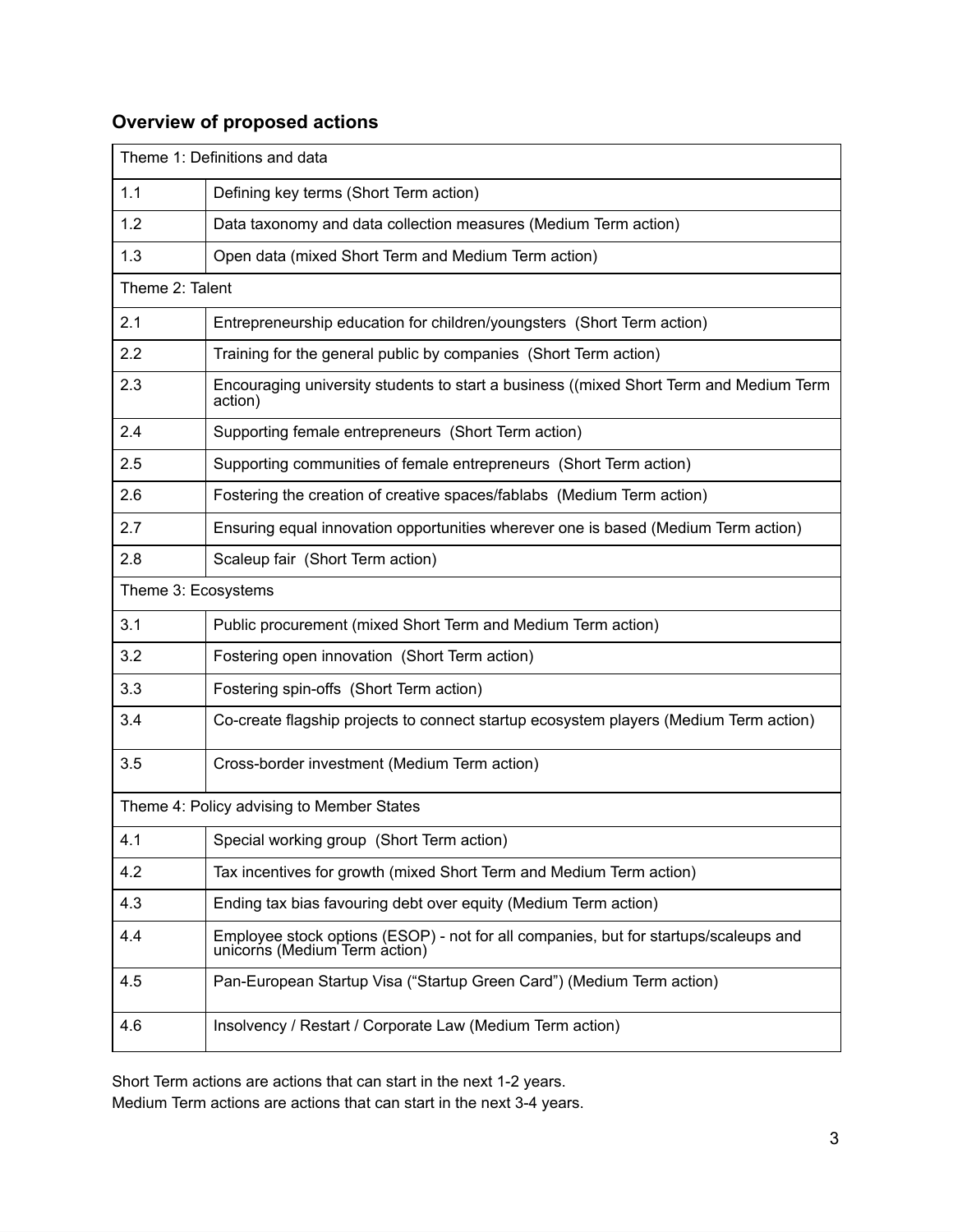## **Overview of proposed actions**

| Theme 1: Definitions and data             |                                                                                                                       |
|-------------------------------------------|-----------------------------------------------------------------------------------------------------------------------|
| 1.1                                       | Defining key terms (Short Term action)                                                                                |
| 1.2                                       | Data taxonomy and data collection measures (Medium Term action)                                                       |
| 1.3                                       | Open data (mixed Short Term and Medium Term action)                                                                   |
| Theme 2: Talent                           |                                                                                                                       |
| 2.1                                       | Entrepreneurship education for children/youngsters (Short Term action)                                                |
| 2.2                                       | Training for the general public by companies (Short Term action)                                                      |
| 2.3                                       | Encouraging university students to start a business ((mixed Short Term and Medium Term<br>action)                     |
| 2.4                                       | Supporting female entrepreneurs (Short Term action)                                                                   |
| 2.5                                       | Supporting communities of female entrepreneurs (Short Term action)                                                    |
| 2.6                                       | Fostering the creation of creative spaces/fablabs (Medium Term action)                                                |
| 2.7                                       | Ensuring equal innovation opportunities wherever one is based (Medium Term action)                                    |
| 2.8                                       | Scaleup fair (Short Term action)                                                                                      |
| Theme 3: Ecosystems                       |                                                                                                                       |
| 3.1                                       | Public procurement (mixed Short Term and Medium Term action)                                                          |
| 3.2                                       | Fostering open innovation (Short Term action)                                                                         |
| 3.3                                       | Fostering spin-offs (Short Term action)                                                                               |
| 3.4                                       | Co-create flagship projects to connect startup ecosystem players (Medium Term action)                                 |
| 3.5                                       | Cross-border investment (Medium Term action)                                                                          |
| Theme 4: Policy advising to Member States |                                                                                                                       |
| 4.1                                       | Special working group (Short Term action)                                                                             |
| 4.2                                       | Tax incentives for growth (mixed Short Term and Medium Term action)                                                   |
| 4.3                                       | Ending tax bias favouring debt over equity (Medium Term action)                                                       |
| 4.4                                       | Employee stock options (ESOP) - not for all companies, but for startups/scaleups and<br>unicorns (Medium Term action) |
| 4.5                                       | Pan-European Startup Visa ("Startup Green Card") (Medium Term action)                                                 |
| 4.6                                       | Insolvency / Restart / Corporate Law (Medium Term action)                                                             |

Short Term actions are actions that can start in the next 1-2 years.

Medium Term actions are actions that can start in the next 3-4 years.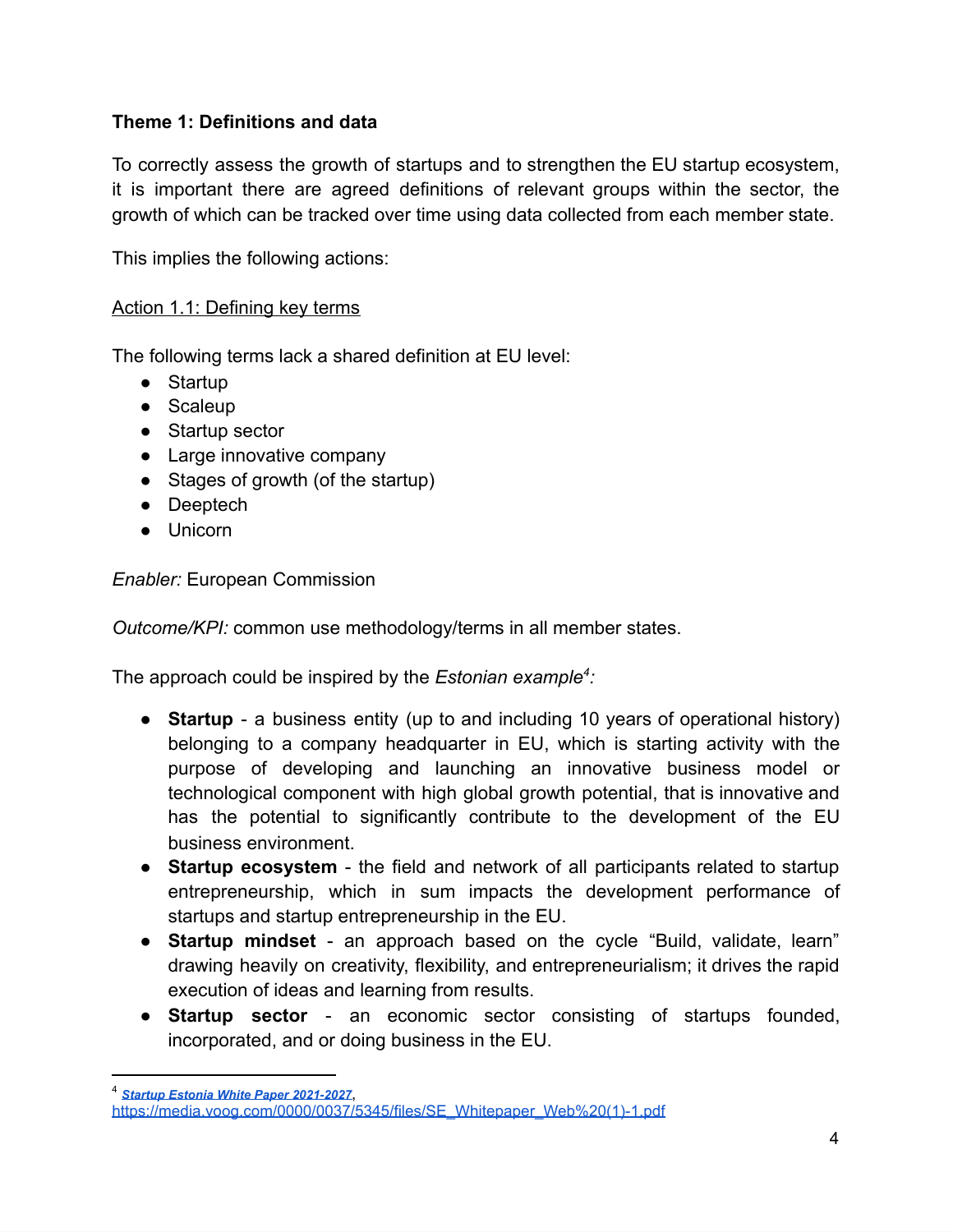## **Theme 1: Definitions and data**

To correctly assess the growth of startups and to strengthen the EU startup ecosystem, it is important there are agreed definitions of relevant groups within the sector, the growth of which can be tracked over time using data collected from each member state.

This implies the following actions:

## Action 1.1: Defining key terms

The following terms lack a shared definition at EU level:

- Startup
- Scaleup
- Startup sector
- Large innovative company
- Stages of growth (of the startup)
- Deeptech
- Unicorn

#### *Enabler:* European Commission

*Outcome/KPI:* common use methodology/terms in all member states.

The approach could be inspired by the *Estonian example <sup>4</sup> :* 

- **Startup**  a business entity (up to and including 10 years of operational history) belonging to a company headquarter in EU, which is starting activity with the purpose of developing and launching an innovative business model or technological component with high global growth potential, that is innovative and has the potential to significantly contribute to the development of the EU business environment.
- **Startup ecosystem**  the field and network of all participants related to startup entrepreneurship, which in sum impacts the development performance of startups and startup entrepreneurship in the EU.
- **Startup mindset**  an approach based on the cycle "Build, validate, learn" drawing heavily on creativity, flexibility, and entrepreneurialism; it drives the rapid execution of ideas and learning from results.
- **Startup sector**  an economic sector consisting of startups founded, incorporated, and or doing business in the EU.

<sup>4</sup> *Startup Estonia White Paper [2021-2027](https://media.voog.com/0000/0037/5345/files/SE_Whitepaper_Web%20(1)-1.pdf)*,

[https://media.voog.com/0000/0037/5345/files/SE\\_Whitepaper\\_Web%20\(1\)-1.pdf](https://media.voog.com/0000/0037/5345/files/SE_Whitepaper_Web%20(1)-1.pdf)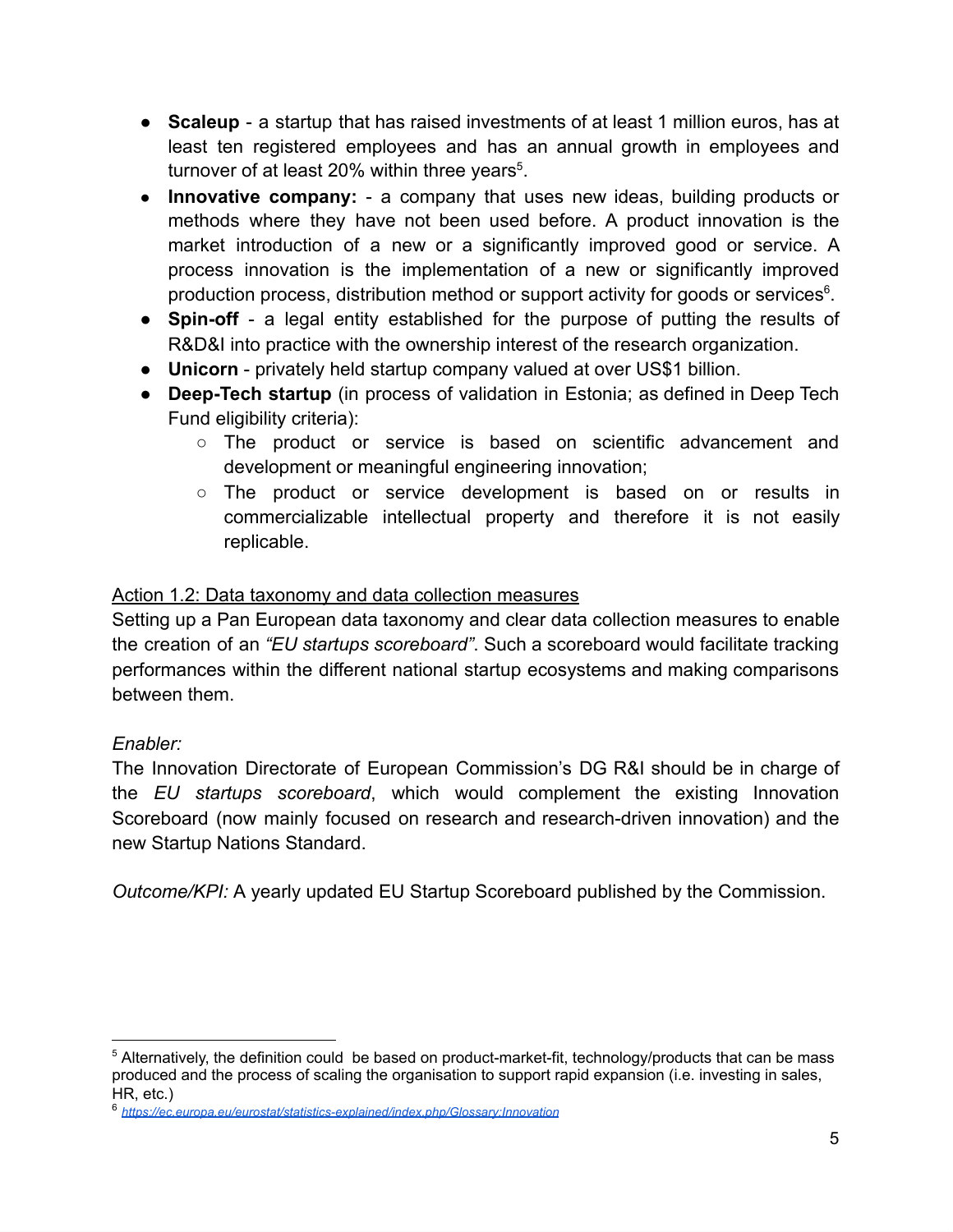- **Scaleup**  a startup that has raised investments of at least 1 million euros, has at least ten registered employees and has an annual growth in employees and turnover of at least 20% within three years<sup>5</sup>.
- **Innovative company:**  a company that uses new ideas, building products or methods where they have not been used before. A product innovation is the market introduction of a new or a significantly improved good or service. A process innovation is the implementation of a new or significantly improved production process, distribution method or support activity for goods or services<sup>6</sup>.
- **Spin-off**  a legal entity established for the purpose of putting the results of R&D&I into practice with the ownership interest of the research organization.
- **● Unicorn**  privately held startup company valued at over US\$1 billion.
- **● Deep-Tech startup** (in process of validation in Estonia; as defined in Deep Tech Fund eligibility criteria):
	- The product or service is based on scientific advancement and development or meaningful engineering innovation;
	- The product or service development is based on or results in commercializable intellectual property and therefore it is not easily replicable.

## Action 1.2: Data taxonomy and data collection measures

Setting up a Pan European data taxonomy and clear data collection measures to enable the creation of an *"EU startups scoreboard"* . Such a scoreboard would facilitate tracking performances within the different national startup ecosystems and making comparisons between them.

## *Enabler:*

The Innovation Directorate of European Commission's DG R&I should be in charge of the *EU* startups scoreboard, which would complement the existing Innovation Scoreboard (now mainly focused on research and research-driven innovation) and the new Startup Nations Standard.

*Outcome/KPI: A yearly updated EU Startup Scoreboard published by the Commission.* 

<sup>5</sup> Alternatively, the definition could be based on product-market-fit, technology/products that can be mass produced and the process of scaling the organisation to support rapid expansion (i.e. investing in sales, HR, etc.)

<sup>6</sup> *<https://ec.europa.eu/eurostat/statistics-explained/index.php/Glossary:Innovation>*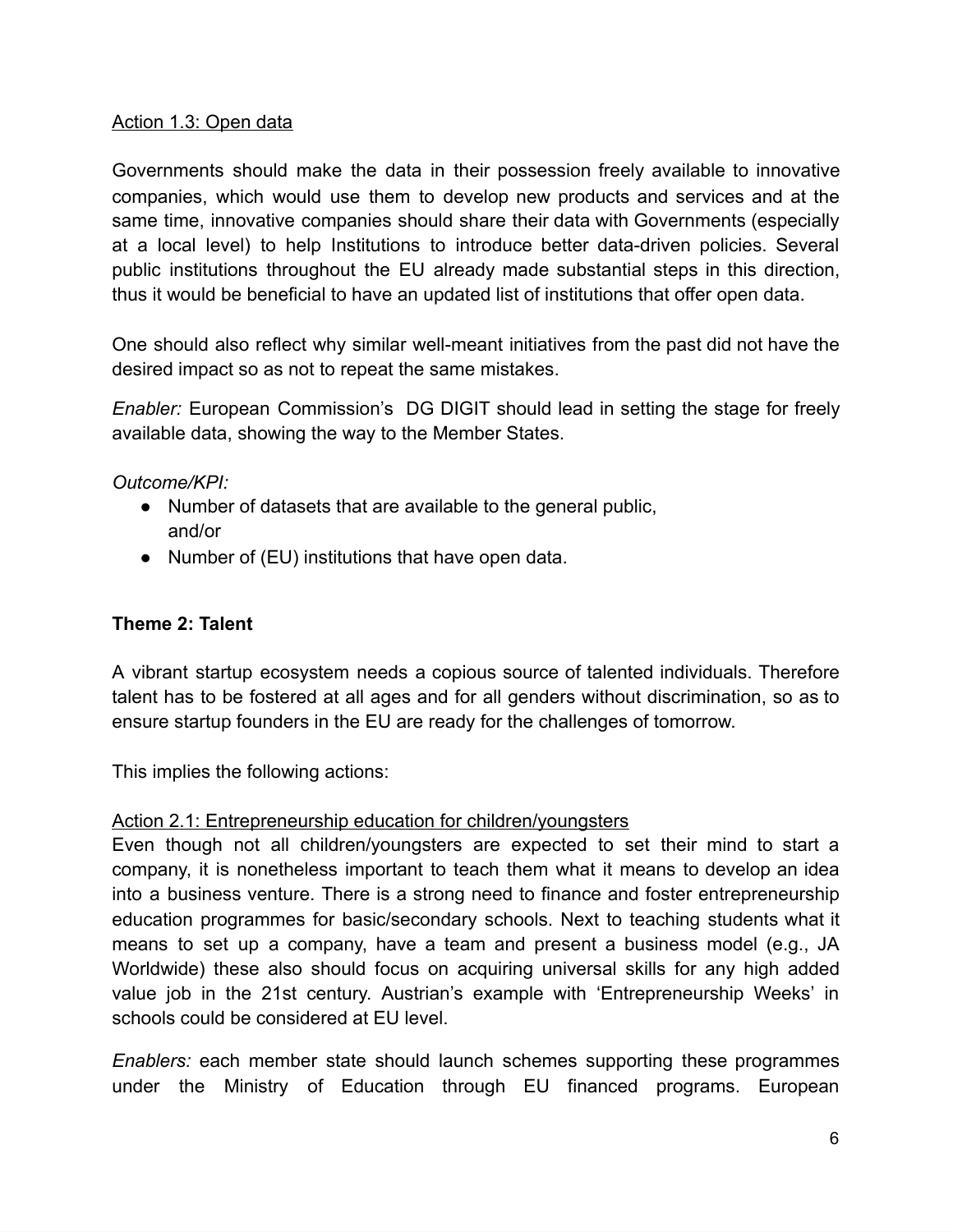## Action 1.3: Open data

Governments should make the data in their possession freely available to innovative companies, which would use them to develop new products and services and at the same time, innovative companies should share their data with Governments (especially at a local level) to help Institutions to introduce better data-driven policies. Several public institutions throughout the EU already made substantial steps in this direction, thus it would be beneficial to have an updated list of institutions that offer open data.

One should also reflect why similar well-meant initiatives from the past did not have the desired impact so as not to repeat the same mistakes.

*Enabler:* European Commission's DG DIGIT should lead in setting the stage for freely available data, showing the way to the Member States.

*Outcome/KPI:* 

- Number of datasets that are available to the general public, and/or
- Number of (EU) institutions that have open data.

## **Theme 2: Talent**

A vibrant startup ecosystem needs a copious source of talented individuals. Therefore talent has to be fostered at all ages and for all genders without discrimination, so as to ensure startup founders in the EU are ready for the challenges of tomorrow.

This implies the following actions:

#### Action 2.1: Entrepreneurship education for children/youngsters

Even though not all children/youngsters are expected to set their mind to start a company, it is nonetheless important to teach them what it means to develop an idea into a business venture. There is a strong need to finance and foster entrepreneurship education programmes for basic/secondary schools. Next to teaching students what it means to set up a company, have a team and present a business model (e.g., [JA](https://www.jaworldwide.org/)  Worldwide) these also should focus on acquiring universal skills for any high added value job in the 21st century. Austrian's example with 'Entrepreneurship Weeks' in schools could be considered at EU level.

*Enablers:* each member state should launch schemes supporting these programmes under the Ministry of Education through EU financed programs. European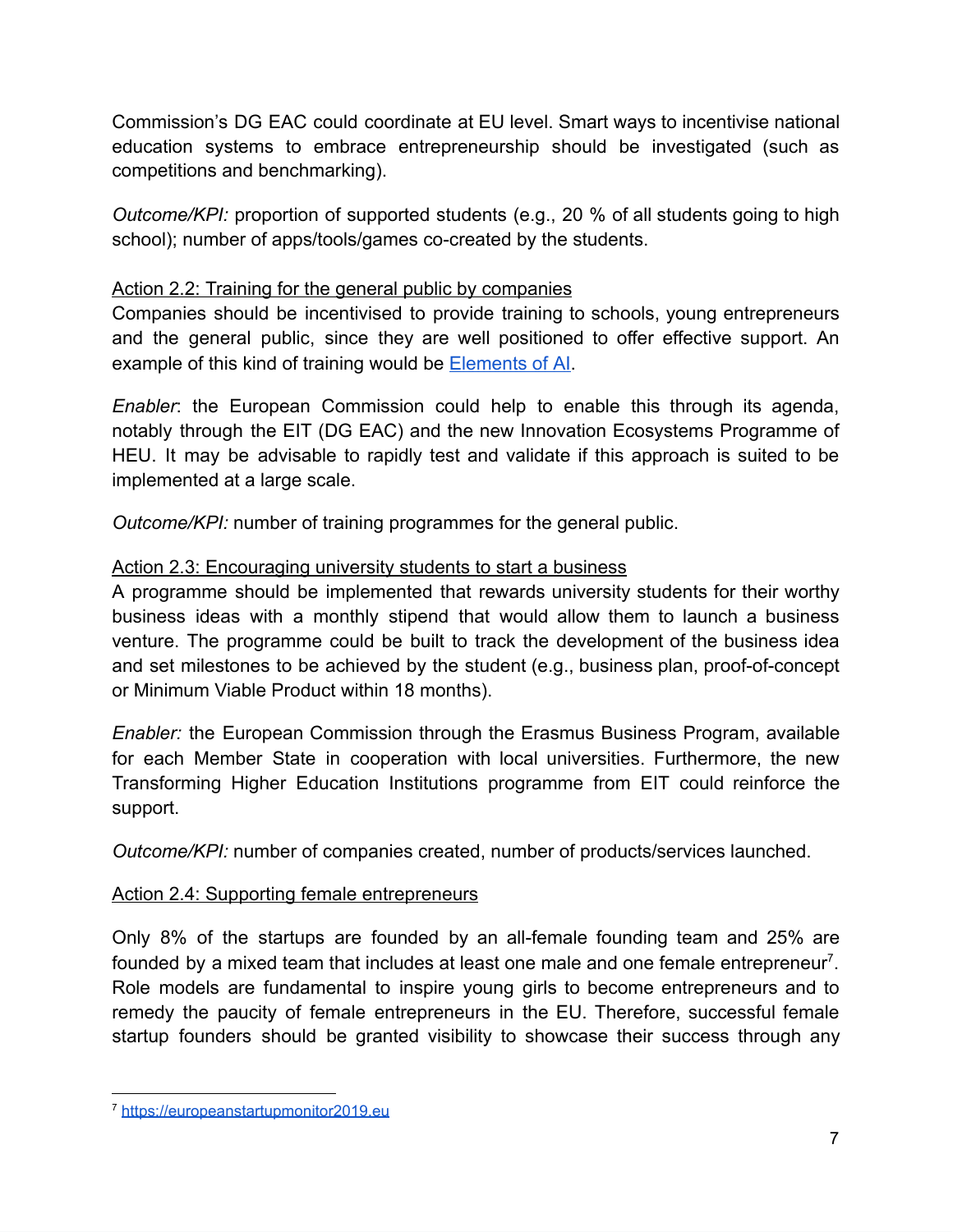Commission's DG EAC could coordinate at EU level. Smart ways to incentivise national education systems to embrace entrepreneurship should be investigated (such as competitions and benchmarking).

*Outcome/KPI:* proportion of supported students (e.g., 20 % of all students going to high school); number of apps/tools/games co-created by the students.

## Action 2.2: Training for the general public by companies

Companies should be incentivised to provide training to schools, young entrepreneurs and the general public, since they are well positioned to offer effective support. An example of this kind of training would be [Elements of AI .](https://www.elementsofai.com/ie)

*Enabler* : the European Commission could help to enable this through its agenda, notably through the EIT (DG EAC) and the new Innovation Ecosystems Programme of HEU. It may be advisable to rapidly test and validate if this approach is suited to be implemented at a large scale.

*Outcome/KPI:* number of training programmes for the general public.

## Action 2.3: Encouraging university students to start a business

A programme should be implemented that rewards university students for their worthy business ideas with a monthly stipend that would allow them to launch a business venture. The programme could be built to track the development of the business idea and set milestones to be achieved by the student (e.g., business plan, proof-of-concept or Minimum Viable Product within 18 months).

*Enabler:* the European Commission through the Erasmus Business Program, available for each Member State in cooperation with local universities. Furthermore, the new Transforming Higher Education Institutions programme from EIT could reinforce the support.

*Outcome/KPI:* number of companies created, number of products/services launched.

## Action 2.4: Supporting female entrepreneurs

Only 8% of the startups are founded by an all-female founding team and 25% are founded by a mixed team that includes at least one male and one female entrepreneur<sup>7</sup>. Role models are fundamental to inspire young girls to become entrepreneurs and to remedy the paucity of female entrepreneurs in the EU. Therefore, successful female startup founders should be granted visibility to showcase their success through any

<sup>7</sup> [https://europeanstartupmonitor2019.eu](https://europeanstartupmonitor2019.eu/)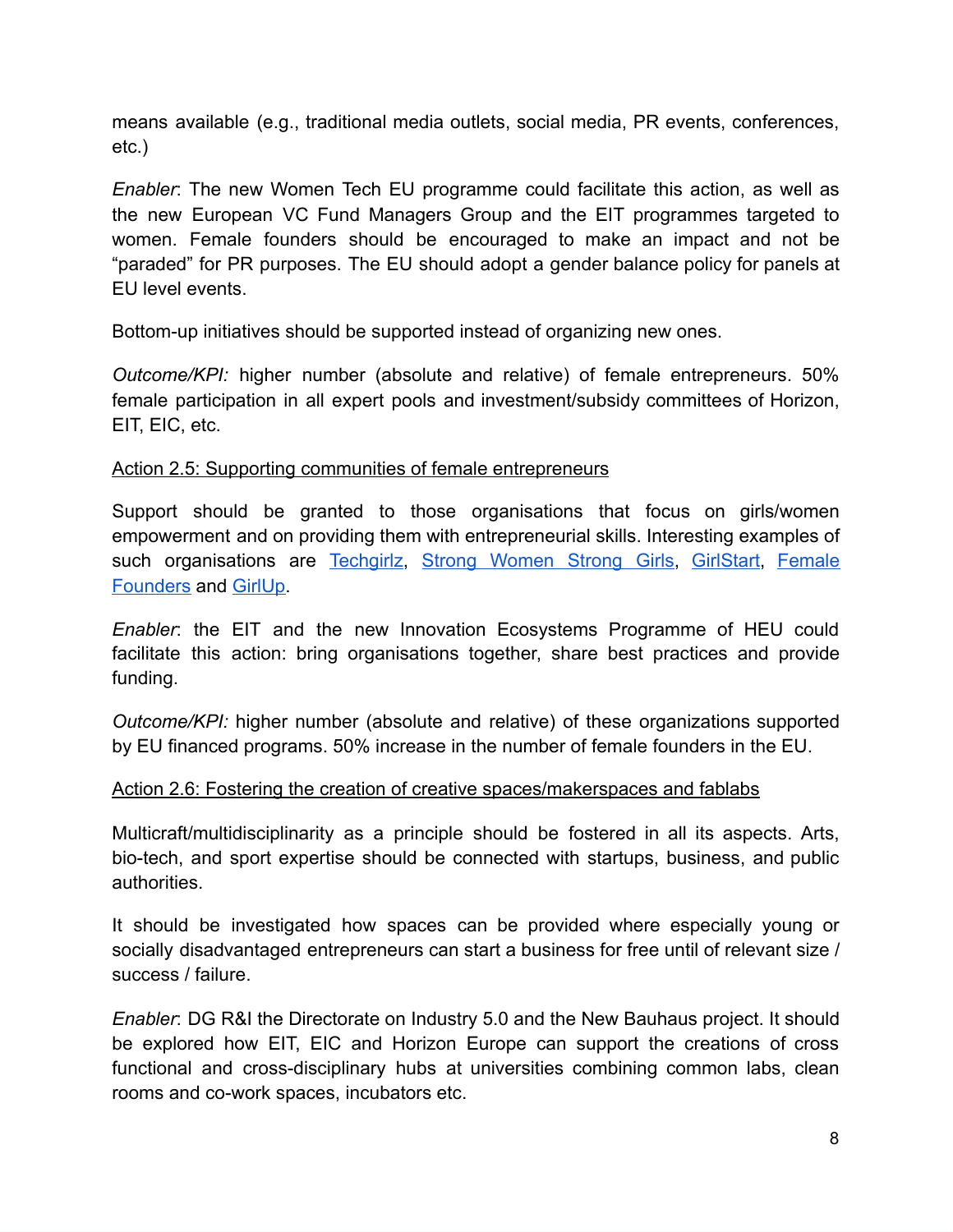means available (e.g., traditional media outlets, social media, PR events, conferences, etc.)

*Enabler* : The new Women Tech EU programme could facilitate this action, as well as the new European VC Fund Managers Group and the EIT programmes targeted to women. Female founders should be encouraged to make an impact and not be "paraded" for PR purposes. The EU should adopt a gender balance policy for panels at EU level events.

Bottom-up initiatives should be supported instead of organizing new ones.

*Outcome/KPI:* higher number (absolute and relative) of female entrepreneurs. 50% female participation in all expert pools and investment/subsidy committees of Horizon, EIT, EIC, etc.

#### Action 2.5: Supporting communities of female entrepreneurs

Support should be granted to those organisations that focus on girls/women empowerment and on providing them with entrepreneurial skills. Interesting examples of such organisations are Techgirlz, [Strong Women Strong Girls](https://swsg.org/), GirlStart, Female [Founders](https://www.female-founders.org/) and GirlUp.

*Enabler*: the EIT and the new Innovation Ecosystems Programme of HEU could facilitate this action: bring organisations together, share best practices and provide funding.

*Outcome/KPI: higher number (absolute and relative) of these organizations supported* by EU financed programs. 50% increase in the number of female founders in the EU.

#### Action 2.6: Fostering the creation of creative spaces/makerspaces and fablabs

Multicraft/multidisciplinarity as a principle should be fostered in all its aspects. Arts, bio-tech, and sport expertise should be connected with startups, business, and public authorities.

It should be investigated how spaces can be provided where especially young or socially disadvantaged entrepreneurs can start a business for free until of relevant size / success / failure.

*Enabler* : DG R&I the Directorate on Industry 5.0 and the New Bauhaus project. It should be explored how EIT, EIC and Horizon Europe can support the creations of cross functional and cross-disciplinary hubs at universities combining common labs, clean rooms and co-work spaces, incubators etc.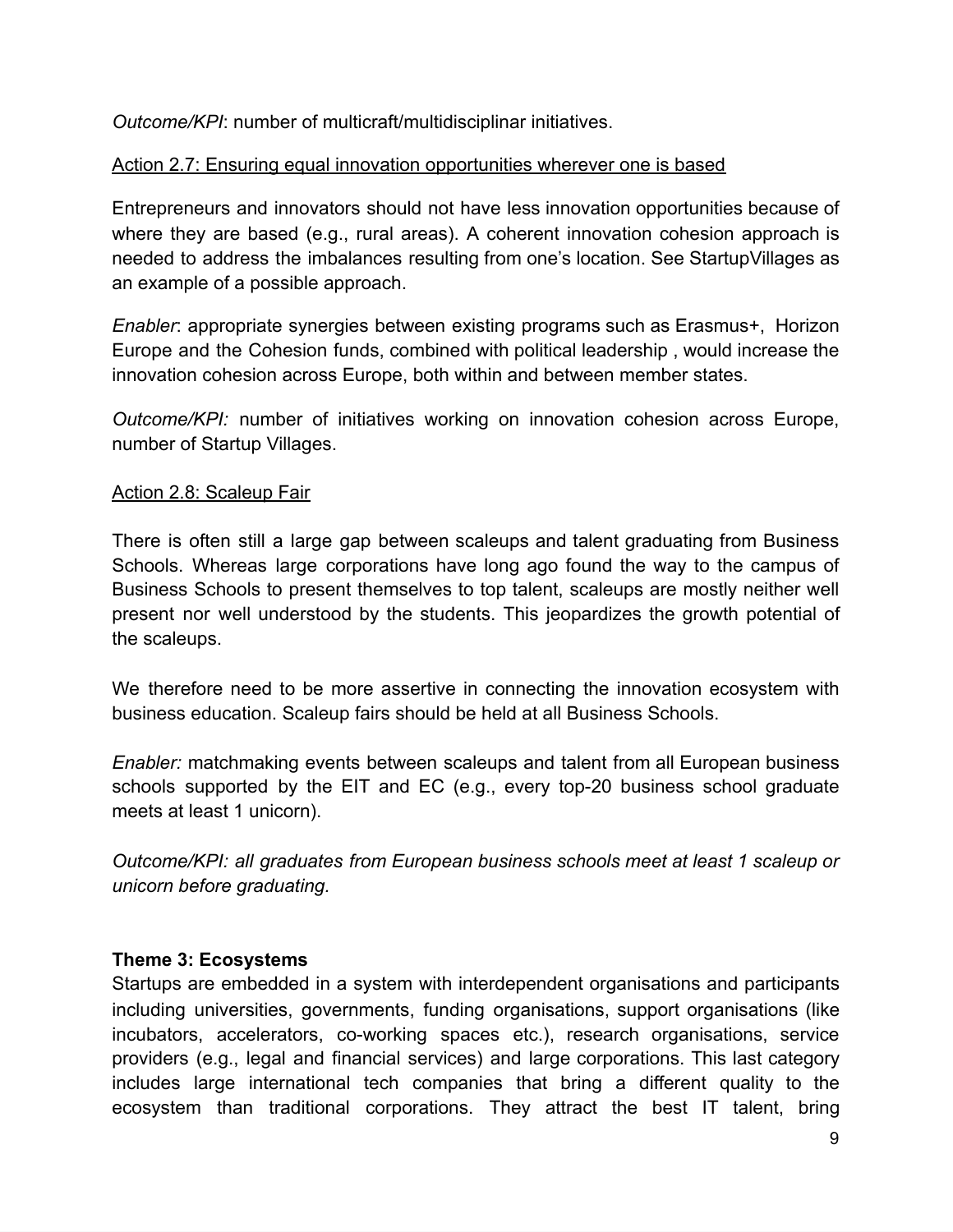**Outcome/KPI: number of multicraft/multidisciplinar initiatives.** 

## Action 2.7: Ensuring equal innovation opportunities wherever one is based

Entrepreneurs and innovators should not have less innovation opportunities because of where they are based (e.g., rural areas). A coherent innovation cohesion approach is needed to address the imbalances resulting from one's location. See StartupVillages as an example of a possible approach.

*Enabler*: appropriate synergies between existing programs such as Erasmus+, Horizon Europe and the Cohesion funds, combined with political leadership , would increase the innovation cohesion across Europe, both within and between member states.

*Outcome/KPI:* number of initiatives working on innovation cohesion across Europe, number of Startup Villages.

#### Action 2.8: Scaleup Fair

There is often still a large gap between scaleups and talent graduating from Business Schools. Whereas large corporations have long ago found the way to the campus of Business Schools to present themselves to top talent, scaleups are mostly neither well present nor well understood by the students. This jeopardizes the growth potential of the scaleups.

We therefore need to be more assertive in connecting the innovation ecosystem with business education. Scaleup fairs should be held at all Business Schools.

*Enabler:* matchmaking events between scaleups and talent from all European business schools supported by the EIT and EC (e.g., every top-20 business school graduate meets at least 1 unicorn).

*Outcome/KPI: all graduates from European business schools meet at least 1 scaleup or unicorn before graduating.* 

#### **Theme 3: Ecosystems**

Startups are embedded in a system with interdependent organisations and participants including universities, governments, funding organisations, support organisations (like incubators, accelerators, co-working spaces etc.), research organisations, service providers (e.g., legal and financial services) and large corporations. This last category includes large international tech companies that bring a different quality to the ecosystem than traditional corporations. They attract the best IT talent, bring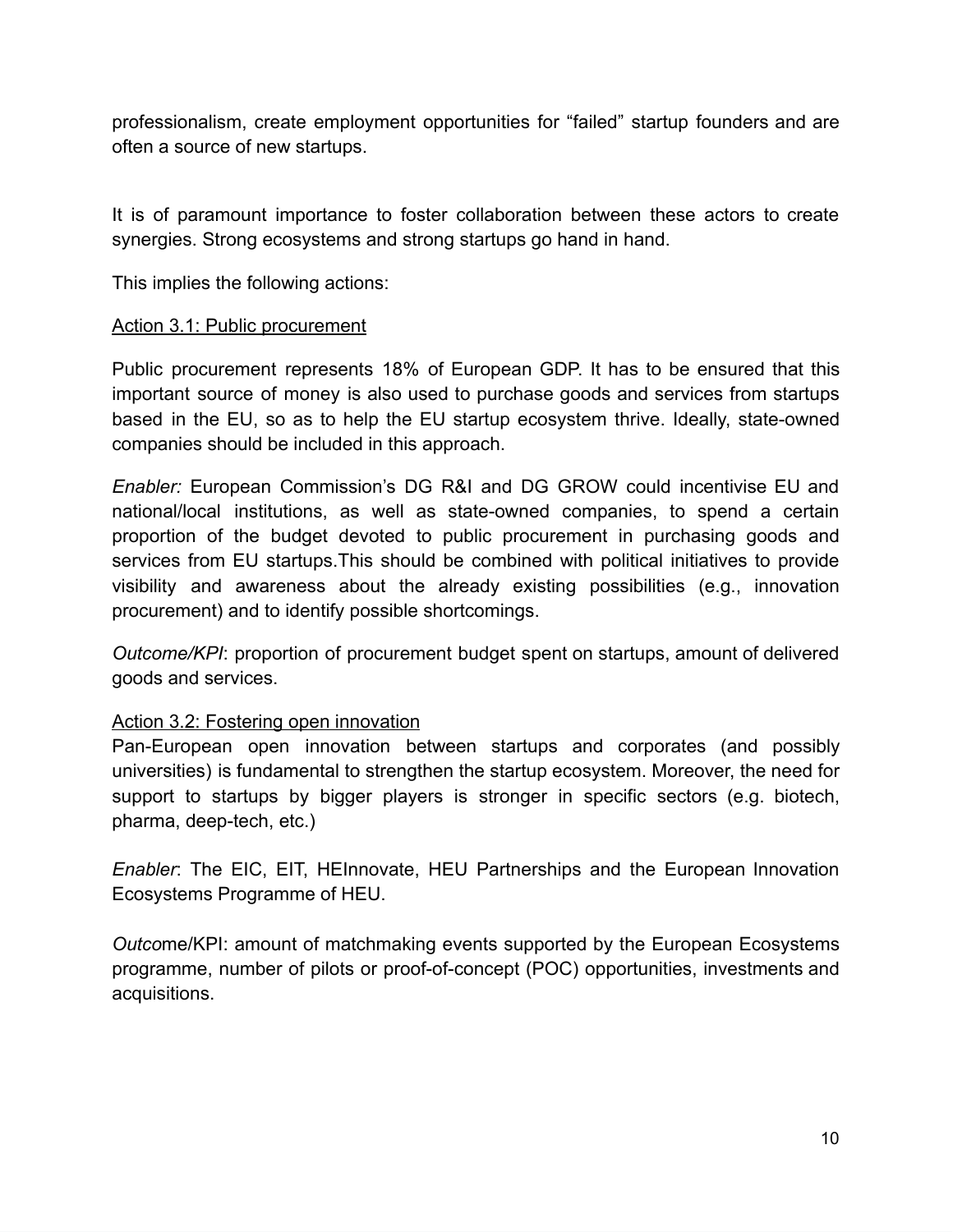professionalism, create employment opportunities for "failed" startup founders and are often a source of new startups.

It is of paramount importance to foster collaboration between these actors to create synergies. Strong ecosystems and strong startups go hand in hand.

This implies the following actions:

#### Action 3.1: Public procurement

Public procurement represents 18% of European GDP. It has to be ensured that this important source of money is also used to purchase goods and services from startups based in the EU, so as to help the EU startup ecosystem thrive. Ideally, state-owned companies should be included in this approach.

*Enabler:* European Commission's DG R&I and DG GROW could incentivise EU and national/local institutions, as well as state-owned companies, to spend a certain proportion of the budget devoted to public procurement in purchasing goods and services from EU startups.This should be combined with political initiatives to provide visibility and awareness about the already existing possibilities (e.g., innovation procurement) and to identify possible shortcomings.

*Outcome/KPI: proportion of procurement budget spent on startups, amount of delivered* goods and services.

## Action 3.2: Fostering open innovation

Pan-European open innovation between startups and corporates (and possibly universities) is fundamental to strengthen the startup ecosystem. Moreover, the need for support to startups by bigger players is stronger in specific sectors (e.g. biotech, pharma, deep-tech, etc.)

*Enabler*: The EIC, EIT, HEInnovate, HEU Partnerships and the European Innovation Ecosystems Programme of HEU.

*Outcome/KPI: amount of matchmaking events supported by the European Ecosystems* programme, number of pilots or proof-of-concept (POC) opportunities, investments and acquisitions.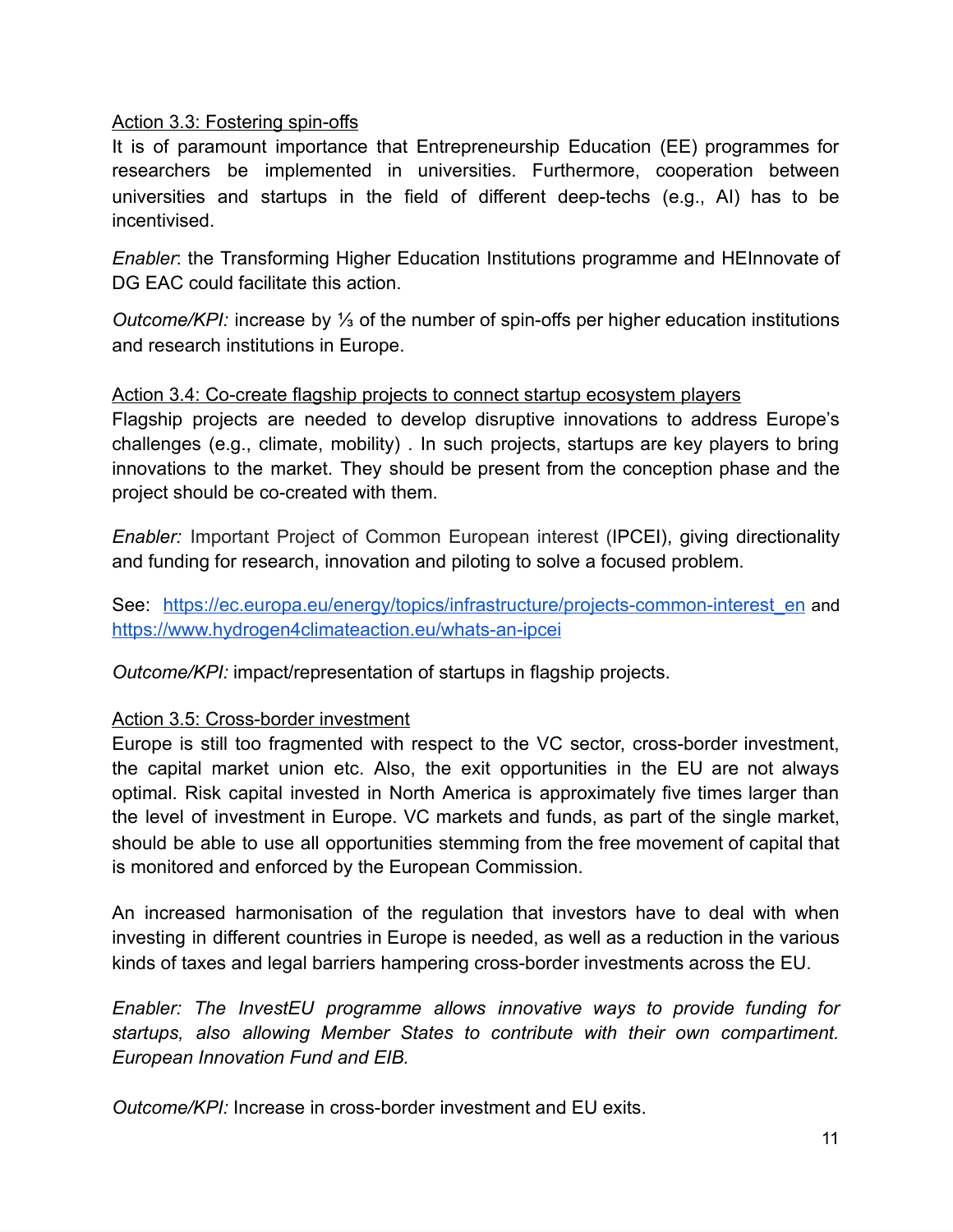#### Action 3.3: Fostering spin-offs

It is of paramount importance that Entrepreneurship Education (EE) programmes for researchers be implemented in universities. Furthermore, cooperation between universities and startups in the field of different deep-techs (e.g., AI) has to be incentivised.

*Enabler* : the Transforming Higher Education Institutions programme and HEInnovate of DG EAC could facilitate this action.

*Outcome/KPI:* increase by ⅓ of the number of spin-offs per higher education institutions and research institutions in Europe.

#### Action 3.4: Co-create flagship projects to connect startup ecosystem players

Flagship projects are needed to develop disruptive innovations to address Europe's challenges (e.g., climate, mobility) . In such projects, startups are key players to bring innovations to the market. They should be present from the conception phase and the project should be co-created with them.

*Enabler:* Important Project of Common European interest (IPCEI), giving directionality and funding for research, innovation and piloting to solve a focused problem.

See: [https://ec.europa.eu/energy/topics/infrastructure/projects-common-interest\\_en](https://ec.europa.eu/energy/topics/infrastructure/projects-common-interest_en) and <https://www.hydrogen4climateaction.eu/whats-an-ipcei>

*Outcome/KPI:* impact/representation of startups in flagship projects.

## Action 3.5: Cross-border investment

Europe is still too fragmented with respect to the VC sector, cross-border investment, the capital market union etc. Also, the exit opportunities in the EU are not always optimal. Risk capital invested in North America is approximately five times larger than the level of investment in Europe. VC markets and funds, as part of the single market, should be able to use all opportunities stemming from the free movement of capital that is monitored and enforced by the European Commission.

An increased harmonisation of the regulation that investors have to deal with when investing in different countries in Europe is needed, as well as a reduction in the various kinds of taxes and legal barriers hampering cross-border investments across the EU.

*Enabler: The InvestEU programme allows innovative ways to provide funding for startups, also allowing Member States to contribute with their own compartiment. European Innovation Fund and EIB.* 

*Outcome/KPI:* Increase in cross-border investment and EU exits.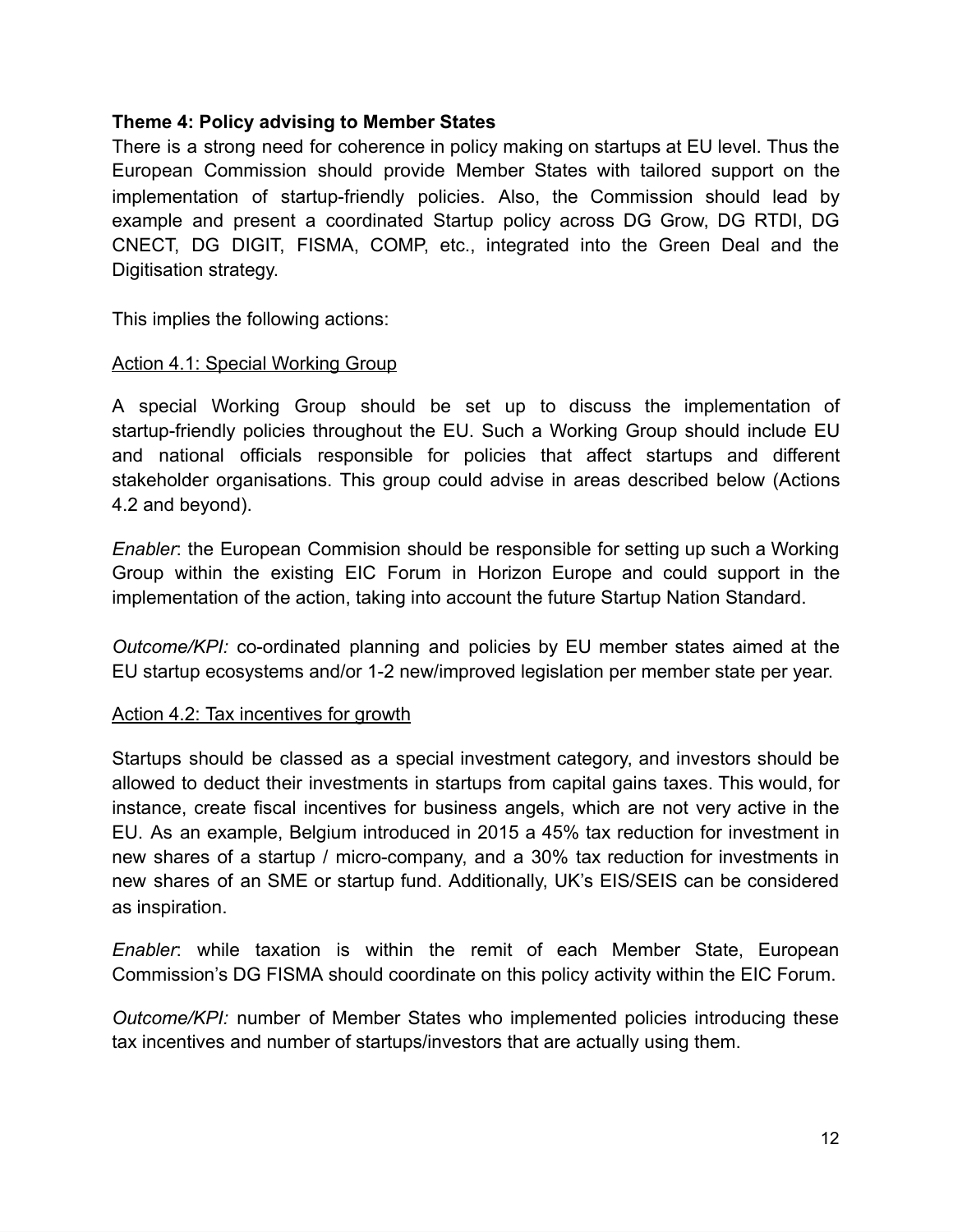### **Theme 4: Policy advising to Member States**

There is a strong need for coherence in policy making on startups at EU level. Thus the European Commission should provide Member States with tailored support on the implementation of startup-friendly policies. Also, the Commission should lead by example and present a coordinated Startup policy across DG Grow, DG RTDI, DG CNECT, DG DIGIT, FISMA, COMP, etc., integrated into the Green Deal and the Digitisation strategy.

This implies the following actions:

#### Action 4.1: Special Working Group

A special Working Group should be set up to discuss the implementation of startup-friendly policies throughout the EU. Such a Working Group should include EU and national officials responsible for policies that affect startups and different stakeholder organisations. This group could advise in areas described below (Actions 4.2 and beyond).

*Enabler*: the European Commision should be responsible for setting up such a Working Group within the existing EIC Forum in Horizon Europe and could support in the implementation of the action, taking into account the future Startup Nation Standard.

*Outcome/KPI:* co-ordinated planning and policies by EU member states aimed at the EU startup ecosystems and/or 1-2 new/improved legislation per member state per year.

#### Action 4.2: Tax incentives for growth

Startups should be classed as a special investment category, and investors should be allowed to deduct their investments in startups from capital gains taxes. This would, for instance, create fiscal incentives for business angels, which are not very active in the EU. As an example, Belgium introduced in 2015 a 45% tax reduction for investment in new shares of a startup / micro-company, and a 30% tax reduction for investments in new shares of an SME or startup fund. Additionally, UK's EIS/SEIS can be considered as inspiration.

*Enabler*: while taxation is within the remit of each Member State, European Commission's DG FISMA should coordinate on this policy activity within the EIC Forum.

*Outcome/KPI:* number of Member States who implemented policies introducing these tax incentives and number of startups/investors that are actually using them.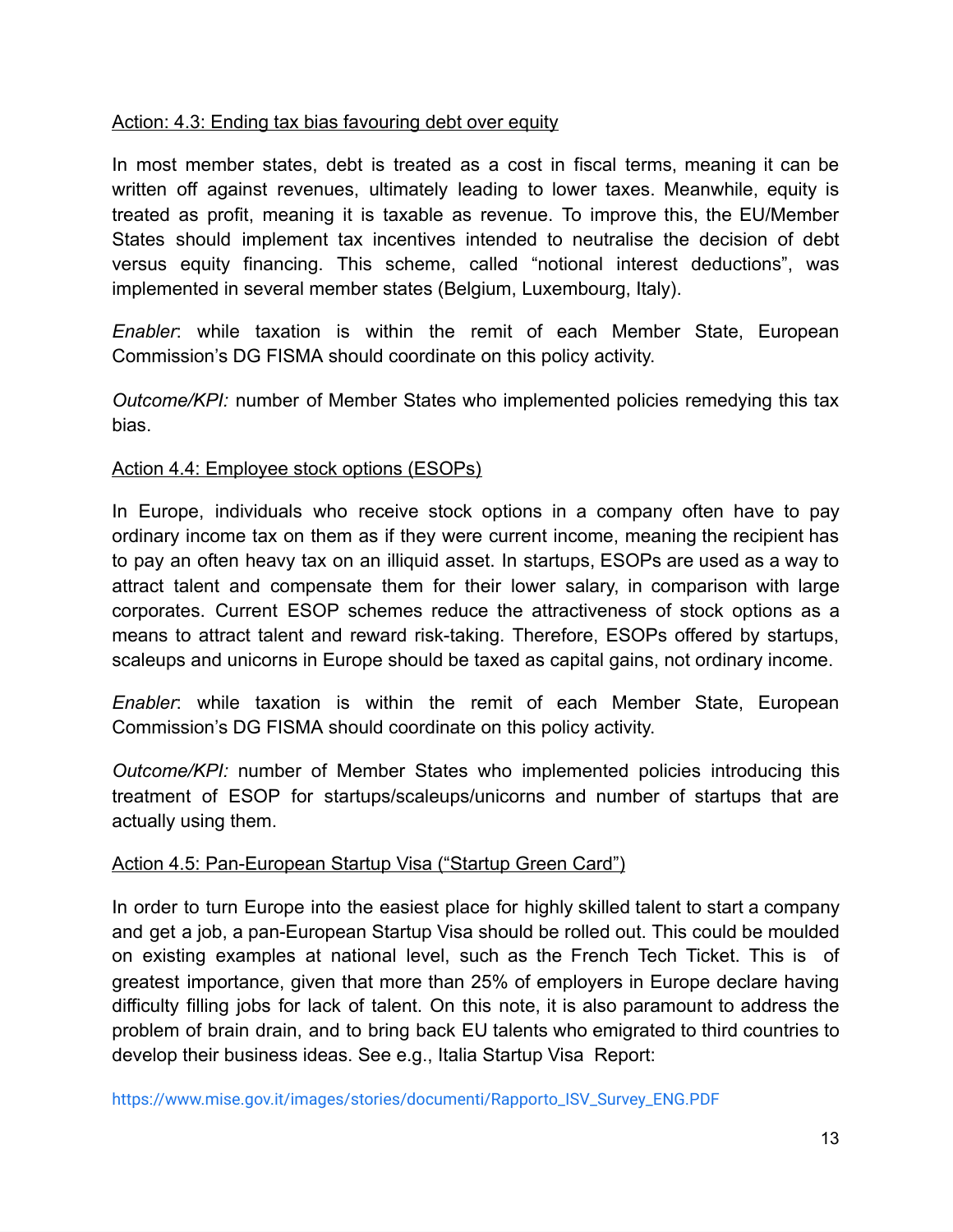#### Action: 4.3: Ending tax bias favouring debt over equity

In most member states, debt is treated as a cost in fiscal terms, meaning it can be written off against revenues, ultimately leading to lower taxes. Meanwhile, equity is treated as profit, meaning it is taxable as revenue. To improve this, the EU/Member States should implement tax incentives intended to neutralise the decision of debt versus equity financing. This scheme, called "notional interest deductions", was implemented in several member states (Belgium, Luxembourg, Italy).

*Enabler*: while taxation is within the remit of each Member State, European Commission's DG FISMA should coordinate on this policy activity.

*Outcome/KPI:* number of Member States who implemented policies remedying this tax bias.

#### Action 4.4: Employee stock options (ESOPs)

In Europe, individuals who receive stock options in a company often have to pay ordinary income tax on them as if they were current income, meaning the recipient has to pay an often heavy tax on an illiquid asset. In startups, ESOPs are used as a way to attract talent and compensate them for their lower salary, in comparison with large corporates. Current ESOP schemes reduce the attractiveness of stock options as a means to attract talent and reward risk-taking. Therefore, ESOPs offered by startups, scaleups and unicorns in Europe should be taxed as capital gains, not ordinary income.

*Enabler* : while taxation is within the remit of each Member State, European Commission's DG FISMA should coordinate on this policy activity.

*Outcome/KPI:* number of Member States who implemented policies introducing this treatment of ESOP for startups/scaleups/unicorns and number of startups that are actually using them.

#### Action 4.5: Pan-European Startup Visa ("Startup Green Card")

In order to turn Europe into the easiest place for highly skilled talent to start a company and get a job, a pan-European Startup Visa should be rolled out. This could be moulded on existing examples at national level, such as the French Tech Ticket. This is of greatest importance, given that more than 25% of employers in Europe declare having difficulty filling jobs for lack of talent. On this note, it is also paramount to address the problem of brain drain, and to bring back EU talents who emigrated to third countries to develop their business ideas. See e.g., Italia Startup Visa Report:

[https://www.mise.gov.it/images/stories/documenti/Rapporto\\_ISV\\_Survey\\_ENG.PDF](https://www.mise.gov.it/images/stories/documenti/Rapporto_ISV_Survey_ENG.PDF)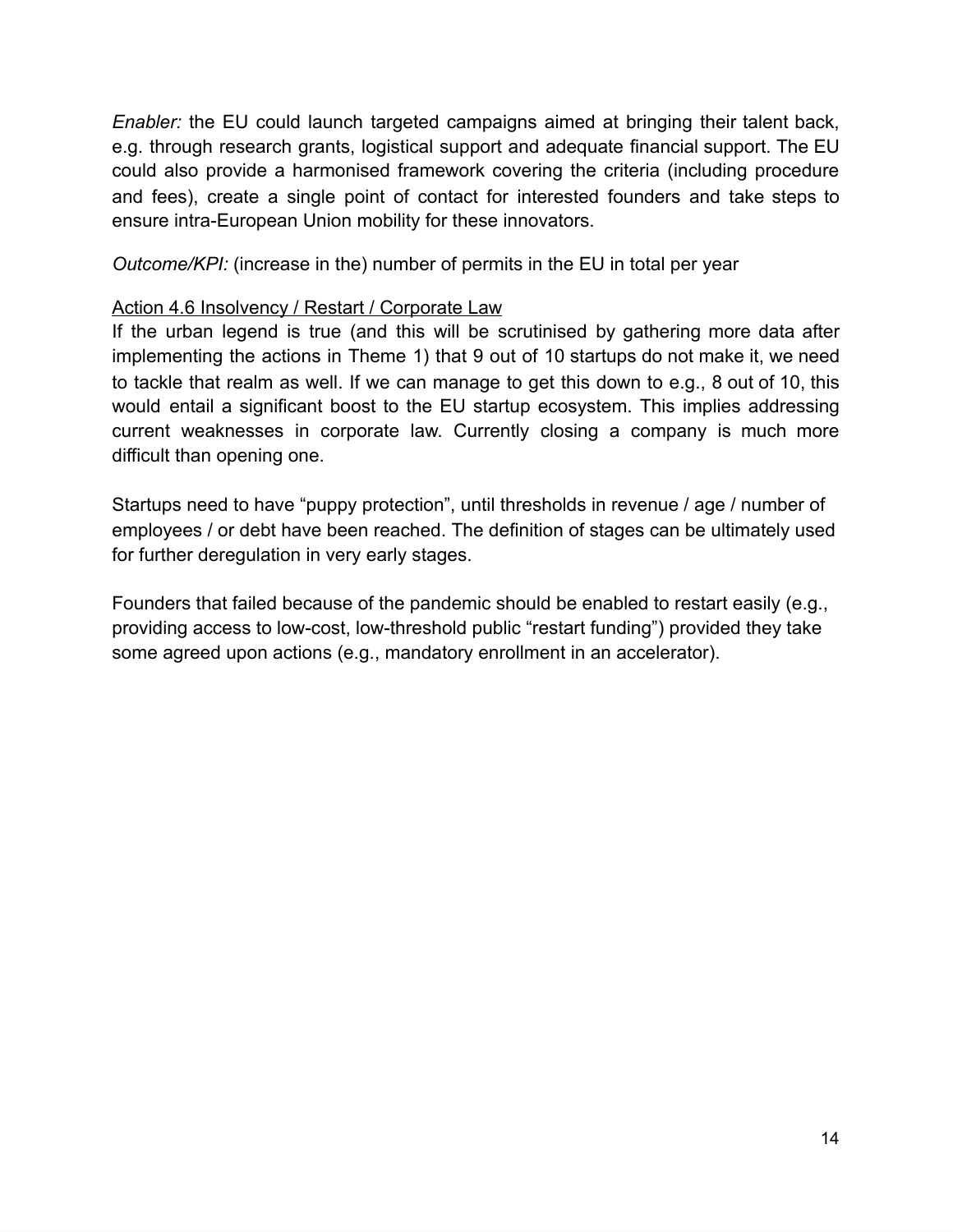*Enabler:* the EU could launch targeted campaigns aimed at bringing their talent back, e.g. through research grants, logistical support and adequate financial support. The EU could also provide a harmonised framework covering the criteria (including procedure and fees), create a single point of contact for interested founders and take steps to ensure intra-European Union mobility for these innovators.

*Outcome/KPI:* (increase in the) number of permits in the EU in total per year

### Action 4.6 Insolvency / Restart / Corporate Law

If the urban legend is true (and this will be scrutinised by gathering more data after implementing the actions in Theme 1) that 9 out of 10 startups do not make it, we need to tackle that realm as well. If we can manage to get this down to e.g., 8 out of 10, this would entail a significant boost to the EU startup ecosystem. This implies addressing current weaknesses in corporate law. Currently closing a company is much more difficult than opening one.

Startups need to have "puppy protection", until thresholds in revenue / age / number of employees / or debt have been reached. The definition of stages can be ultimately used for further deregulation in very early stages.

Founders that failed because of the pandemic should be enabled to restart easily (e.g., providing access to low-cost, low-threshold public "restart funding") provided they take some agreed upon actions (e.g., mandatory enrollment in an accelerator).